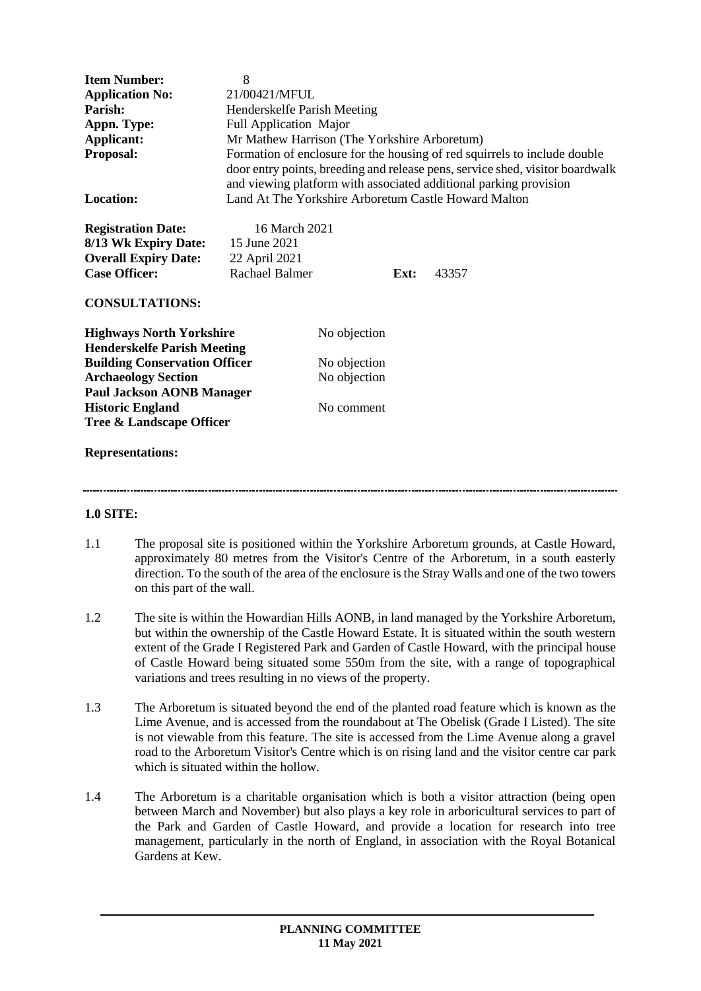| <b>Item Number:</b>                  | 8                                                                                                                                                                                                                               |              |      |       |
|--------------------------------------|---------------------------------------------------------------------------------------------------------------------------------------------------------------------------------------------------------------------------------|--------------|------|-------|
| <b>Application No:</b>               | 21/00421/MFUL                                                                                                                                                                                                                   |              |      |       |
| Parish:                              | Henderskelfe Parish Meeting                                                                                                                                                                                                     |              |      |       |
| Appn. Type:                          | <b>Full Application Major</b>                                                                                                                                                                                                   |              |      |       |
| <b>Applicant:</b>                    | Mr Mathew Harrison (The Yorkshire Arboretum)                                                                                                                                                                                    |              |      |       |
| Proposal:                            | Formation of enclosure for the housing of red squirrels to include double<br>door entry points, breeding and release pens, service shed, visitor boardwalk<br>and viewing platform with associated additional parking provision |              |      |       |
| <b>Location:</b>                     | Land At The Yorkshire Arboretum Castle Howard Malton                                                                                                                                                                            |              |      |       |
| <b>Registration Date:</b>            | 16 March 2021                                                                                                                                                                                                                   |              |      |       |
| 8/13 Wk Expiry Date:                 | 15 June 2021                                                                                                                                                                                                                    |              |      |       |
| <b>Overall Expiry Date:</b>          | 22 April 2021                                                                                                                                                                                                                   |              |      |       |
| <b>Case Officer:</b>                 | <b>Rachael Balmer</b>                                                                                                                                                                                                           |              | Ext: | 43357 |
| <b>CONSULTATIONS:</b>                |                                                                                                                                                                                                                                 |              |      |       |
| <b>Highways North Yorkshire</b>      |                                                                                                                                                                                                                                 | No objection |      |       |
| <b>Henderskelfe Parish Meeting</b>   |                                                                                                                                                                                                                                 |              |      |       |
| <b>Building Conservation Officer</b> |                                                                                                                                                                                                                                 | No objection |      |       |
| <b>Archaeology Section</b>           |                                                                                                                                                                                                                                 | No objection |      |       |
| <b>Paul Jackson AONB Manager</b>     |                                                                                                                                                                                                                                 |              |      |       |
| <b>Historic England</b>              |                                                                                                                                                                                                                                 | No comment   |      |       |
| Tree & Landscape Officer             |                                                                                                                                                                                                                                 |              |      |       |
| <b>Representations:</b>              |                                                                                                                                                                                                                                 |              |      |       |
|                                      |                                                                                                                                                                                                                                 |              |      |       |

### **1.0 SITE:**

- 1.1 The proposal site is positioned within the Yorkshire Arboretum grounds, at Castle Howard, approximately 80 metres from the Visitor's Centre of the Arboretum, in a south easterly direction. To the south of the area of the enclosure is the Stray Walls and one of the two towers on this part of the wall.
- 1.2 The site is within the Howardian Hills AONB, in land managed by the Yorkshire Arboretum, but within the ownership of the Castle Howard Estate. It is situated within the south western extent of the Grade I Registered Park and Garden of Castle Howard, with the principal house of Castle Howard being situated some 550m from the site, with a range of topographical variations and trees resulting in no views of the property.
- 1.3 The Arboretum is situated beyond the end of the planted road feature which is known as the Lime Avenue, and is accessed from the roundabout at The Obelisk (Grade I Listed). The site is not viewable from this feature. The site is accessed from the Lime Avenue along a gravel road to the Arboretum Visitor's Centre which is on rising land and the visitor centre car park which is situated within the hollow.
- 1.4 The Arboretum is a charitable organisation which is both a visitor attraction (being open between March and November) but also plays a key role in arboricultural services to part of the Park and Garden of Castle Howard, and provide a location for research into tree management, particularly in the north of England, in association with the Royal Botanical Gardens at Kew.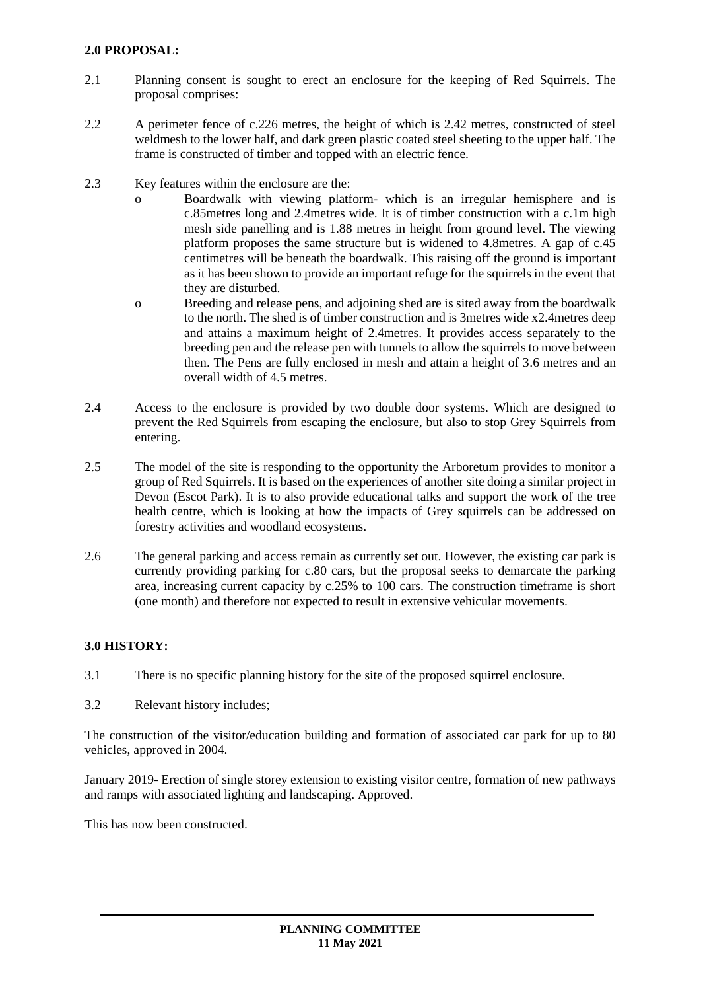### **2.0 PROPOSAL:**

- 2.1 Planning consent is sought to erect an enclosure for the keeping of Red Squirrels. The proposal comprises:
- 2.2 A perimeter fence of c.226 metres, the height of which is 2.42 metres, constructed of steel weldmesh to the lower half, and dark green plastic coated steel sheeting to the upper half. The frame is constructed of timber and topped with an electric fence.
- 2.3 Key features within the enclosure are the:
	- o Boardwalk with viewing platform- which is an irregular hemisphere and is c.85metres long and 2.4metres wide. It is of timber construction with a c.1m high mesh side panelling and is 1.88 metres in height from ground level. The viewing platform proposes the same structure but is widened to 4.8metres. A gap of c.45 centimetres will be beneath the boardwalk. This raising off the ground is important as it has been shown to provide an important refuge for the squirrels in the event that they are disturbed.
	- o Breeding and release pens, and adjoining shed are is sited away from the boardwalk to the north. The shed is of timber construction and is 3metres wide x2.4metres deep and attains a maximum height of 2.4metres. It provides access separately to the breeding pen and the release pen with tunnels to allow the squirrels to move between then. The Pens are fully enclosed in mesh and attain a height of 3.6 metres and an overall width of 4.5 metres.
- 2.4 Access to the enclosure is provided by two double door systems. Which are designed to prevent the Red Squirrels from escaping the enclosure, but also to stop Grey Squirrels from entering.
- 2.5 The model of the site is responding to the opportunity the Arboretum provides to monitor a group of Red Squirrels. It is based on the experiences of another site doing a similar project in Devon (Escot Park). It is to also provide educational talks and support the work of the tree health centre, which is looking at how the impacts of Grey squirrels can be addressed on forestry activities and woodland ecosystems.
- 2.6 The general parking and access remain as currently set out. However, the existing car park is currently providing parking for c.80 cars, but the proposal seeks to demarcate the parking area, increasing current capacity by c.25% to 100 cars. The construction timeframe is short (one month) and therefore not expected to result in extensive vehicular movements.

# **3.0 HISTORY:**

- 3.1 There is no specific planning history for the site of the proposed squirrel enclosure.
- 3.2 Relevant history includes;

The construction of the visitor/education building and formation of associated car park for up to 80 vehicles, approved in 2004.

January 2019- Erection of single storey extension to existing visitor centre, formation of new pathways and ramps with associated lighting and landscaping. Approved.

This has now been constructed.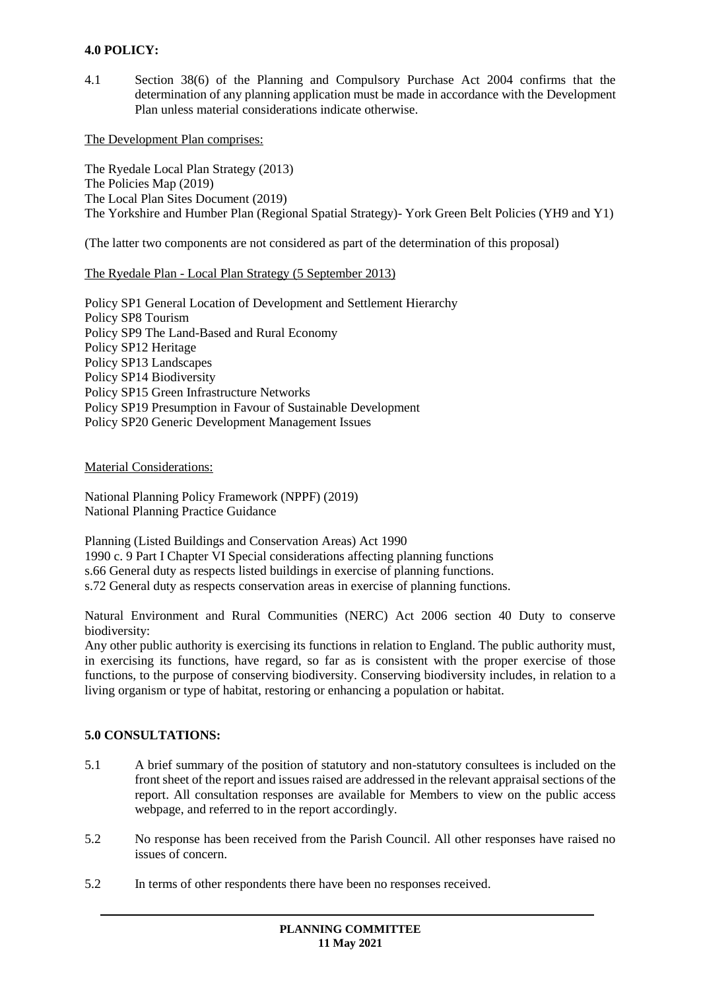# **4.0 POLICY:**

4.1 Section 38(6) of the Planning and Compulsory Purchase Act 2004 confirms that the determination of any planning application must be made in accordance with the Development Plan unless material considerations indicate otherwise.

The Development Plan comprises:

The Ryedale Local Plan Strategy (2013) The Policies Map (2019) The Local Plan Sites Document (2019) The Yorkshire and Humber Plan (Regional Spatial Strategy)- York Green Belt Policies (YH9 and Y1)

(The latter two components are not considered as part of the determination of this proposal)

#### The Ryedale Plan - Local Plan Strategy (5 September 2013)

Policy SP1 General Location of Development and Settlement Hierarchy Policy SP8 Tourism Policy SP9 The Land-Based and Rural Economy Policy SP12 Heritage Policy SP13 Landscapes Policy SP14 Biodiversity Policy SP15 Green Infrastructure Networks Policy SP19 Presumption in Favour of Sustainable Development Policy SP20 Generic Development Management Issues

Material Considerations:

National Planning Policy Framework (NPPF) (2019) National Planning Practice Guidance

Planning (Listed Buildings and Conservation Areas) Act 1990 1990 c. 9 Part I Chapter VI Special considerations affecting planning functions s.66 General duty as respects listed buildings in exercise of planning functions. s.72 General duty as respects conservation areas in exercise of planning functions.

Natural Environment and Rural Communities (NERC) Act 2006 section 40 Duty to conserve biodiversity:

Any other public authority is exercising its functions in relation to England. The public authority must, in exercising its functions, have regard, so far as is consistent with the proper exercise of those functions, to the purpose of conserving biodiversity. Conserving biodiversity includes, in relation to a living organism or type of habitat, restoring or enhancing a population or habitat.

### **5.0 CONSULTATIONS:**

- 5.1 A brief summary of the position of statutory and non-statutory consultees is included on the front sheet of the report and issues raised are addressed in the relevant appraisal sections of the report. All consultation responses are available for Members to view on the public access webpage, and referred to in the report accordingly.
- 5.2 No response has been received from the Parish Council. All other responses have raised no issues of concern.
- 5.2 In terms of other respondents there have been no responses received.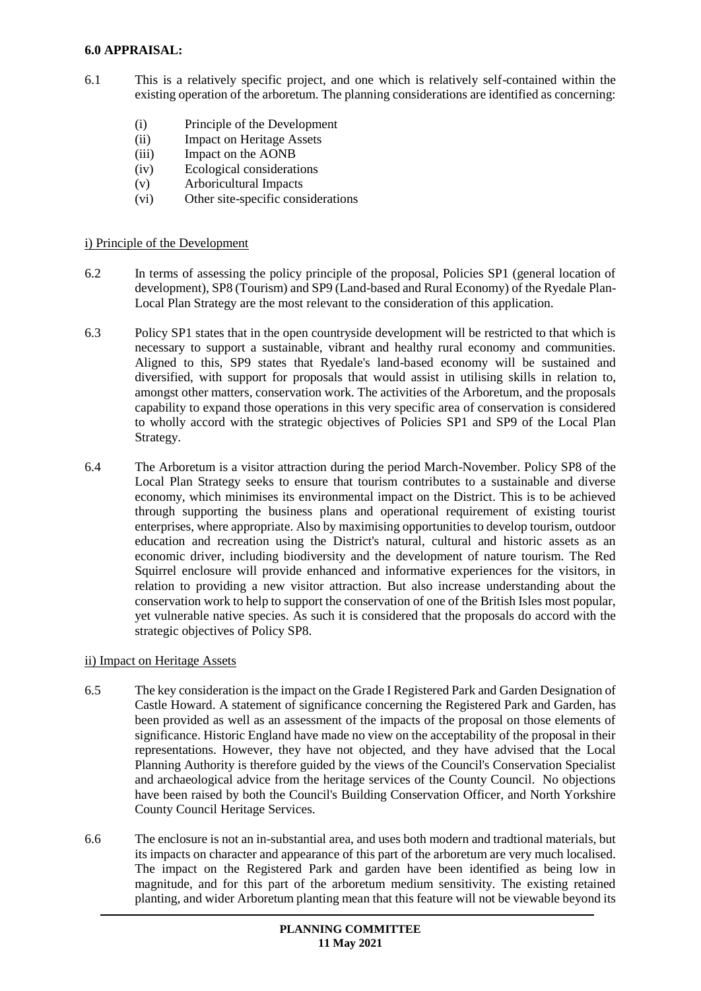#### **6.0 APPRAISAL:**

- 6.1 This is a relatively specific project, and one which is relatively self-contained within the existing operation of the arboretum. The planning considerations are identified as concerning:
	- (i) Principle of the Development
	- (ii) Impact on Heritage Assets
	- (iii) Impact on the AONB
	- (iv) Ecological considerations
	- (v) Arboricultural Impacts
	- (vi) Other site-specific considerations

#### i) Principle of the Development

- 6.2 In terms of assessing the policy principle of the proposal, Policies SP1 (general location of development), SP8 (Tourism) and SP9 (Land-based and Rural Economy) of the Ryedale Plan-Local Plan Strategy are the most relevant to the consideration of this application.
- 6.3 Policy SP1 states that in the open countryside development will be restricted to that which is necessary to support a sustainable, vibrant and healthy rural economy and communities. Aligned to this, SP9 states that Ryedale's land-based economy will be sustained and diversified, with support for proposals that would assist in utilising skills in relation to, amongst other matters, conservation work. The activities of the Arboretum, and the proposals capability to expand those operations in this very specific area of conservation is considered to wholly accord with the strategic objectives of Policies SP1 and SP9 of the Local Plan Strategy.
- 6.4 The Arboretum is a visitor attraction during the period March-November. Policy SP8 of the Local Plan Strategy seeks to ensure that tourism contributes to a sustainable and diverse economy, which minimises its environmental impact on the District. This is to be achieved through supporting the business plans and operational requirement of existing tourist enterprises, where appropriate. Also by maximising opportunities to develop tourism, outdoor education and recreation using the District's natural, cultural and historic assets as an economic driver, including biodiversity and the development of nature tourism. The Red Squirrel enclosure will provide enhanced and informative experiences for the visitors, in relation to providing a new visitor attraction. But also increase understanding about the conservation work to help to support the conservation of one of the British Isles most popular, yet vulnerable native species. As such it is considered that the proposals do accord with the strategic objectives of Policy SP8.

### ii) Impact on Heritage Assets

- 6.5 The key consideration is the impact on the Grade I Registered Park and Garden Designation of Castle Howard. A statement of significance concerning the Registered Park and Garden, has been provided as well as an assessment of the impacts of the proposal on those elements of significance. Historic England have made no view on the acceptability of the proposal in their representations. However, they have not objected, and they have advised that the Local Planning Authority is therefore guided by the views of the Council's Conservation Specialist and archaeological advice from the heritage services of the County Council. No objections have been raised by both the Council's Building Conservation Officer, and North Yorkshire County Council Heritage Services.
- 6.6 The enclosure is not an in-substantial area, and uses both modern and tradtional materials, but its impacts on character and appearance of this part of the arboretum are very much localised. The impact on the Registered Park and garden have been identified as being low in magnitude, and for this part of the arboretum medium sensitivity. The existing retained planting, and wider Arboretum planting mean that this feature will not be viewable beyond its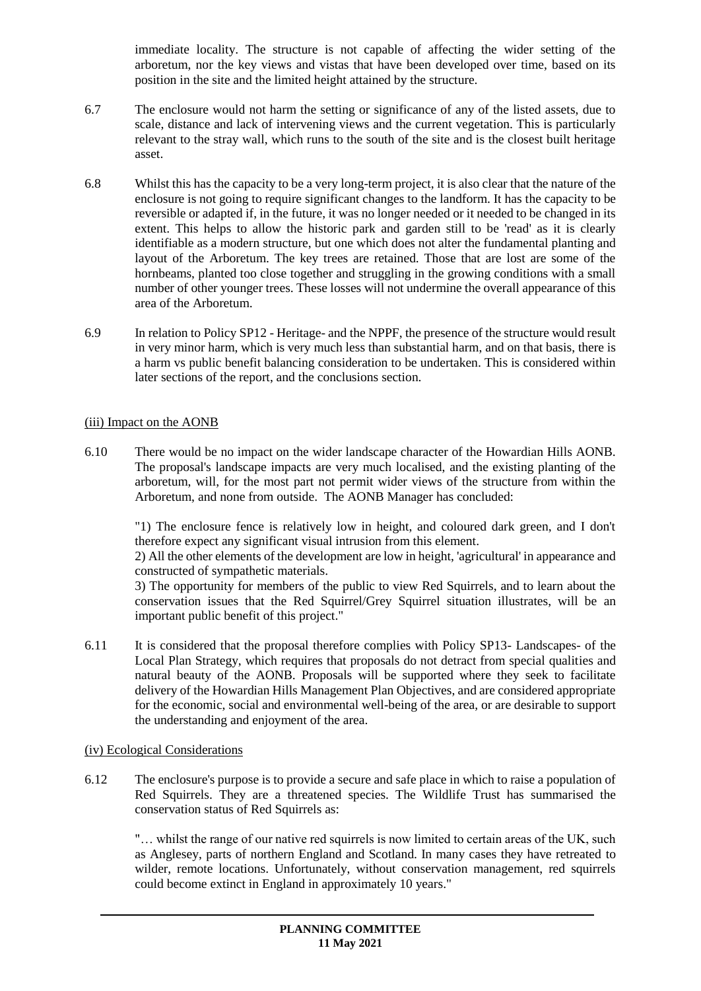immediate locality. The structure is not capable of affecting the wider setting of the arboretum, nor the key views and vistas that have been developed over time, based on its position in the site and the limited height attained by the structure.

- 6.7 The enclosure would not harm the setting or significance of any of the listed assets, due to scale, distance and lack of intervening views and the current vegetation. This is particularly relevant to the stray wall, which runs to the south of the site and is the closest built heritage asset.
- 6.8 Whilst this has the capacity to be a very long-term project, it is also clear that the nature of the enclosure is not going to require significant changes to the landform. It has the capacity to be reversible or adapted if, in the future, it was no longer needed or it needed to be changed in its extent. This helps to allow the historic park and garden still to be 'read' as it is clearly identifiable as a modern structure, but one which does not alter the fundamental planting and layout of the Arboretum. The key trees are retained. Those that are lost are some of the hornbeams, planted too close together and struggling in the growing conditions with a small number of other younger trees. These losses will not undermine the overall appearance of this area of the Arboretum.
- 6.9 In relation to Policy SP12 Heritage- and the NPPF, the presence of the structure would result in very minor harm, which is very much less than substantial harm, and on that basis, there is a harm vs public benefit balancing consideration to be undertaken. This is considered within later sections of the report, and the conclusions section.

#### (iii) Impact on the AONB

6.10 There would be no impact on the wider landscape character of the Howardian Hills AONB. The proposal's landscape impacts are very much localised, and the existing planting of the arboretum, will, for the most part not permit wider views of the structure from within the Arboretum, and none from outside. The AONB Manager has concluded:

"1) The enclosure fence is relatively low in height, and coloured dark green, and I don't therefore expect any significant visual intrusion from this element.

2) All the other elements of the development are low in height, 'agricultural' in appearance and constructed of sympathetic materials.

3) The opportunity for members of the public to view Red Squirrels, and to learn about the conservation issues that the Red Squirrel/Grey Squirrel situation illustrates, will be an important public benefit of this project."

6.11 It is considered that the proposal therefore complies with Policy SP13- Landscapes- of the Local Plan Strategy, which requires that proposals do not detract from special qualities and natural beauty of the AONB. Proposals will be supported where they seek to facilitate delivery of the Howardian Hills Management Plan Objectives, and are considered appropriate for the economic, social and environmental well-being of the area, or are desirable to support the understanding and enjoyment of the area.

### (iv) Ecological Considerations

6.12 The enclosure's purpose is to provide a secure and safe place in which to raise a population of Red Squirrels. They are a threatened species. The Wildlife Trust has summarised the conservation status of Red Squirrels as:

"… whilst the range of our native red squirrels is now limited to certain areas of the UK, such as Anglesey, parts of northern England and Scotland. In many cases they have retreated to wilder, remote locations. Unfortunately, without conservation management, red squirrels could become extinct in England in approximately 10 years."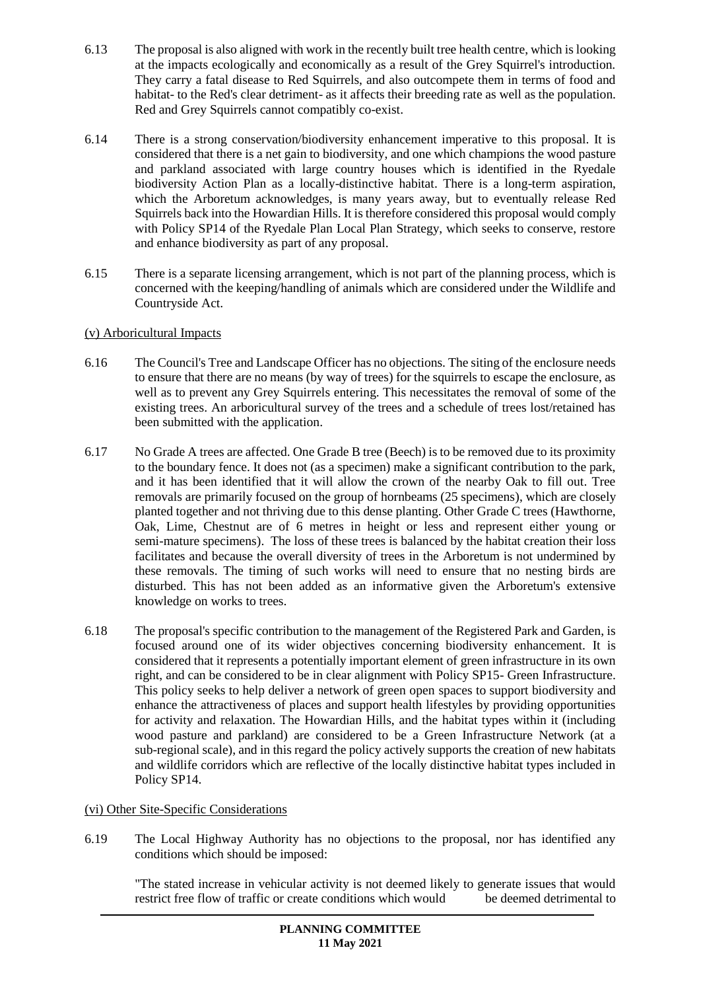- 6.13 The proposal is also aligned with work in the recently built tree health centre, which is looking at the impacts ecologically and economically as a result of the Grey Squirrel's introduction. They carry a fatal disease to Red Squirrels, and also outcompete them in terms of food and habitat- to the Red's clear detriment- as it affects their breeding rate as well as the population. Red and Grey Squirrels cannot compatibly co-exist.
- 6.14 There is a strong conservation/biodiversity enhancement imperative to this proposal. It is considered that there is a net gain to biodiversity, and one which champions the wood pasture and parkland associated with large country houses which is identified in the Ryedale biodiversity Action Plan as a locally-distinctive habitat. There is a long-term aspiration, which the Arboretum acknowledges, is many years away, but to eventually release Red Squirrels back into the Howardian Hills. It is therefore considered this proposal would comply with Policy SP14 of the Ryedale Plan Local Plan Strategy, which seeks to conserve, restore and enhance biodiversity as part of any proposal.
- 6.15 There is a separate licensing arrangement, which is not part of the planning process, which is concerned with the keeping/handling of animals which are considered under the Wildlife and Countryside Act.

# (v) Arboricultural Impacts

- 6.16 The Council's Tree and Landscape Officer has no objections. The siting of the enclosure needs to ensure that there are no means (by way of trees) for the squirrels to escape the enclosure, as well as to prevent any Grey Squirrels entering. This necessitates the removal of some of the existing trees. An arboricultural survey of the trees and a schedule of trees lost/retained has been submitted with the application.
- 6.17 No Grade A trees are affected. One Grade B tree (Beech) is to be removed due to its proximity to the boundary fence. It does not (as a specimen) make a significant contribution to the park, and it has been identified that it will allow the crown of the nearby Oak to fill out. Tree removals are primarily focused on the group of hornbeams (25 specimens), which are closely planted together and not thriving due to this dense planting. Other Grade C trees (Hawthorne, Oak, Lime, Chestnut are of 6 metres in height or less and represent either young or semi-mature specimens). The loss of these trees is balanced by the habitat creation their loss facilitates and because the overall diversity of trees in the Arboretum is not undermined by these removals. The timing of such works will need to ensure that no nesting birds are disturbed. This has not been added as an informative given the Arboretum's extensive knowledge on works to trees.
- 6.18 The proposal's specific contribution to the management of the Registered Park and Garden, is focused around one of its wider objectives concerning biodiversity enhancement. It is considered that it represents a potentially important element of green infrastructure in its own right, and can be considered to be in clear alignment with Policy SP15- Green Infrastructure. This policy seeks to help deliver a network of green open spaces to support biodiversity and enhance the attractiveness of places and support health lifestyles by providing opportunities for activity and relaxation. The Howardian Hills, and the habitat types within it (including wood pasture and parkland) are considered to be a Green Infrastructure Network (at a sub-regional scale), and in this regard the policy actively supports the creation of new habitats and wildlife corridors which are reflective of the locally distinctive habitat types included in Policy SP14.

### (vi) Other Site-Specific Considerations

6.19 The Local Highway Authority has no objections to the proposal, nor has identified any conditions which should be imposed:

"The stated increase in vehicular activity is not deemed likely to generate issues that would restrict free flow of traffic or create conditions which would be deemed detrimental to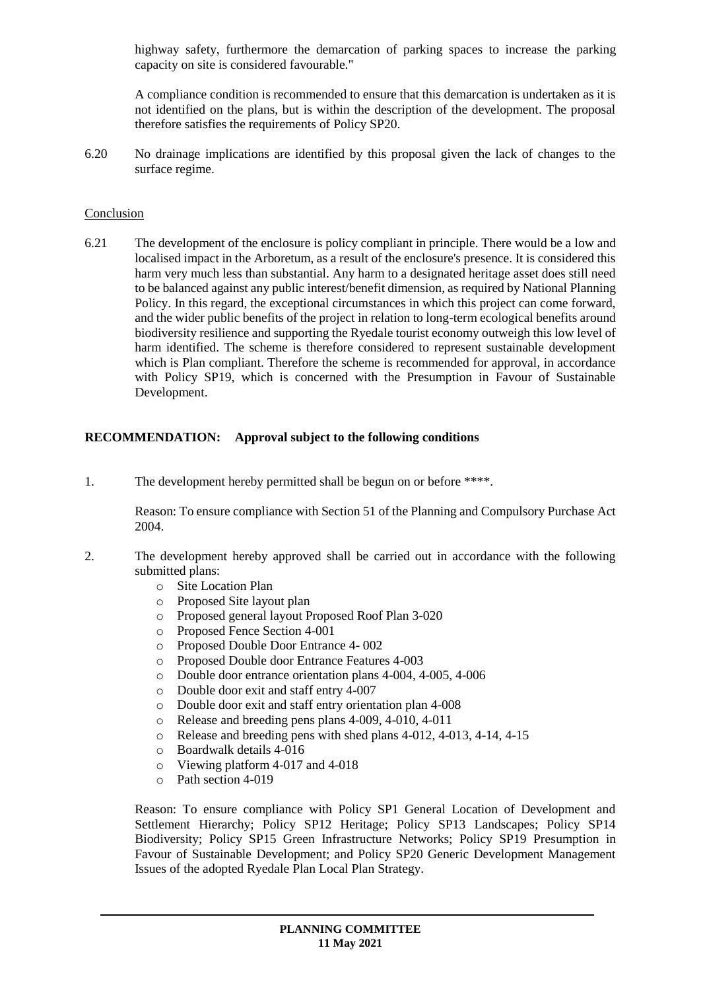highway safety, furthermore the demarcation of parking spaces to increase the parking capacity on site is considered favourable."

A compliance condition is recommended to ensure that this demarcation is undertaken as it is not identified on the plans, but is within the description of the development. The proposal therefore satisfies the requirements of Policy SP20.

6.20 No drainage implications are identified by this proposal given the lack of changes to the surface regime.

#### Conclusion

6.21 The development of the enclosure is policy compliant in principle. There would be a low and localised impact in the Arboretum, as a result of the enclosure's presence. It is considered this harm very much less than substantial. Any harm to a designated heritage asset does still need to be balanced against any public interest/benefit dimension, as required by National Planning Policy. In this regard, the exceptional circumstances in which this project can come forward, and the wider public benefits of the project in relation to long-term ecological benefits around biodiversity resilience and supporting the Ryedale tourist economy outweigh this low level of harm identified. The scheme is therefore considered to represent sustainable development which is Plan compliant. Therefore the scheme is recommended for approval, in accordance with Policy SP19, which is concerned with the Presumption in Favour of Sustainable Development.

#### **RECOMMENDATION: Approval subject to the following conditions**

1. The development hereby permitted shall be begun on or before \*\*\*\*.

Reason: To ensure compliance with Section 51 of the Planning and Compulsory Purchase Act 2004.

- 2. The development hereby approved shall be carried out in accordance with the following submitted plans:
	- o Site Location Plan
	- o Proposed Site layout plan
	- o Proposed general layout Proposed Roof Plan 3-020
	- o Proposed Fence Section 4-001
	- o Proposed Double Door Entrance 4- 002
	- o Proposed Double door Entrance Features 4-003
	- o Double door entrance orientation plans 4-004, 4-005, 4-006
	- o Double door exit and staff entry 4-007
	- o Double door exit and staff entry orientation plan 4-008
	- o Release and breeding pens plans 4-009, 4-010, 4-011
	- o Release and breeding pens with shed plans 4-012, 4-013, 4-14, 4-15
	- o Boardwalk details 4-016
	- o Viewing platform 4-017 and 4-018
	- o Path section 4-019

Reason: To ensure compliance with Policy SP1 General Location of Development and Settlement Hierarchy; Policy SP12 Heritage; Policy SP13 Landscapes; Policy SP14 Biodiversity; Policy SP15 Green Infrastructure Networks; Policy SP19 Presumption in Favour of Sustainable Development; and Policy SP20 Generic Development Management Issues of the adopted Ryedale Plan Local Plan Strategy.